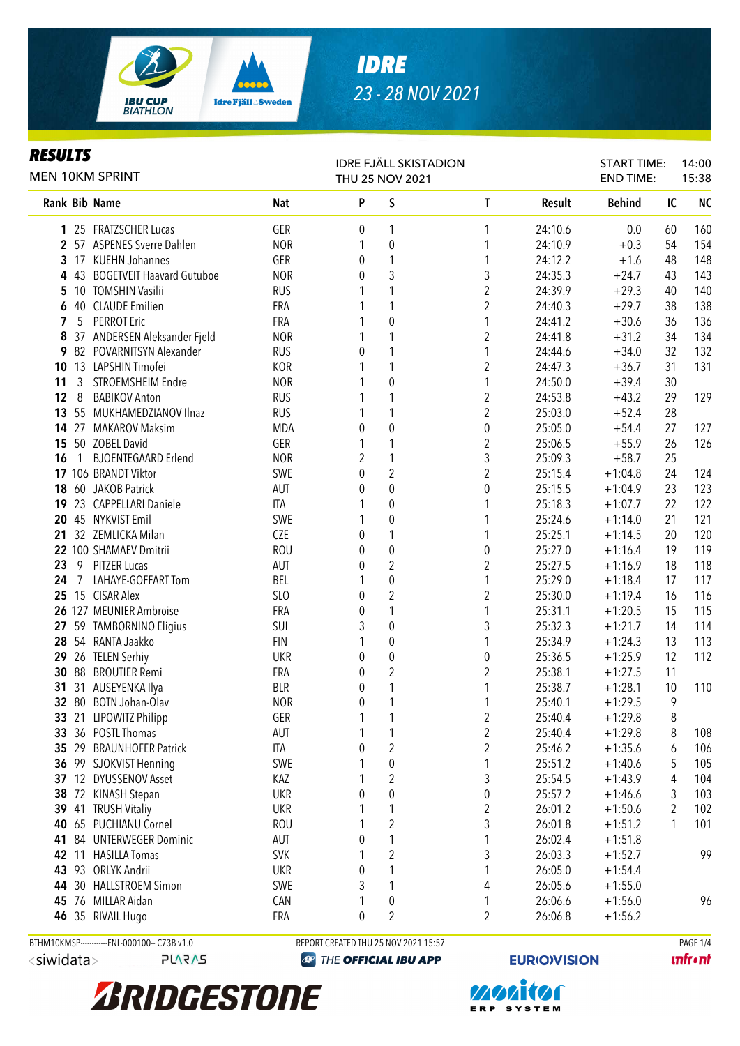

## *IDRE 23 - 28 NOV 2021*

#### *RESULTS*

| \LJ V L I J<br>MEN 10KM SPRINT |              |                                                     |                 |                  | <b>IDRE FJÄLL SKISTADION</b><br>THU 25 NOV 2021 |                         | <b>START TIME:</b><br><b>END TIME:</b> |                        | 14:00<br>15:38 |            |
|--------------------------------|--------------|-----------------------------------------------------|-----------------|------------------|-------------------------------------------------|-------------------------|----------------------------------------|------------------------|----------------|------------|
|                                |              | Rank Bib Name                                       | <b>Nat</b>      | P                | S                                               | $\mathbf{T}$            | Result                                 | <b>Behind</b>          | IC             | <b>NC</b>  |
|                                |              | 1 25 FRATZSCHER Lucas                               | GER             | 0                | 1                                               | 1                       | 24:10.6                                | 0.0                    | 60             | 160        |
|                                |              | 2 57 ASPENES Sverre Dahlen                          | <b>NOR</b>      | 1                | $\boldsymbol{0}$                                | 1                       | 24:10.9                                | $+0.3$                 | 54             | 154        |
|                                |              | 3 17 KUEHN Johannes                                 | GER             | $\boldsymbol{0}$ | $\mathbf{1}$                                    | 1                       | 24:12.2                                | $+1.6$                 | 48             | 148        |
|                                |              | 4 43 BOGETVEIT Haavard Gutuboe                      | <b>NOR</b>      | 0                | 3                                               | 3                       | 24:35.3                                | $+24.7$                | 43             | 143        |
|                                |              | 5 10 TOMSHIN Vasilii                                | <b>RUS</b>      |                  | 1                                               | $\boldsymbol{2}$        | 24:39.9                                | $+29.3$                | 40             | 140        |
|                                |              | 6 40 CLAUDE Emilien                                 | FRA             |                  | 1                                               | $\overline{2}$          | 24:40.3                                | $+29.7$                | 38             | 138        |
| 7                              |              | 5 PERROT Eric                                       | FRA             |                  | $\boldsymbol{0}$                                | 1                       | 24:41.2                                | $+30.6$                | 36             | 136        |
|                                |              | 8 37 ANDERSEN Aleksander Fjeld                      | <b>NOR</b>      |                  | $\mathbf 1$                                     | $\overline{2}$          | 24:41.8                                | $+31.2$                | 34             | 134        |
|                                |              | 9 82 POVARNITSYN Alexander                          | <b>RUS</b>      | 0                | 1                                               | 1                       | 24:44.6                                | $+34.0$                | 32             | 132        |
|                                |              | 10 13 LAPSHIN Timofei                               | KOR             |                  | $\mathbf{1}$                                    | $\overline{2}$          | 24:47.3                                | $+36.7$                | 31             | 131        |
| 11                             | 3            | STROEMSHEIM Endre                                   | <b>NOR</b>      |                  | $\pmb{0}$                                       | 1                       | 24:50.0                                | $+39.4$                | 30             |            |
| 12                             | 8            | <b>BABIKOV Anton</b>                                | <b>RUS</b>      |                  | 1                                               | $\overline{2}$          | 24:53.8                                | $+43.2$                | 29             | 129        |
| 13                             |              | 55 MUKHAMEDZIANOV Ilnaz                             | <b>RUS</b>      |                  | 1                                               | $\overline{2}$          | 25:03.0                                | $+52.4$                | 28             |            |
|                                | 14 27        | <b>MAKAROV Maksim</b>                               | <b>MDA</b>      | $\theta$         | $\mathbf 0$                                     | $\pmb{0}$               | 25:05.0                                | $+54.4$                | 27             | 127        |
|                                |              | 15 50 ZOBEL David                                   | GER             | 1                | 1                                               | $\overline{2}$          | 25:06.5                                | $+55.9$                | 26             | 126        |
| 16                             | $\mathbf{1}$ | <b>BJOENTEGAARD Erlend</b>                          | <b>NOR</b>      | $\overline{2}$   | 1                                               | 3                       | 25:09.3                                | $+58.7$                | 25             |            |
|                                |              | 17 106 BRANDT Viktor                                | SWE             | 0                | $\overline{2}$                                  | $\overline{2}$          | 25:15.4                                | $+1:04.8$              | 24             | 124        |
|                                |              | 18 60 JAKOB Patrick                                 | AUT             | $\theta$         | $\mathbf 0$                                     | $\boldsymbol{0}$        | 25:15.5                                | $+1:04.9$              | 23             | 123        |
|                                |              | 19 23 CAPPELLARI Daniele                            | <b>ITA</b>      | 1                | $\mathbf 0$                                     |                         | 25:18.3                                | $+1:07.7$              | 22             | 122        |
|                                |              | 20 45 NYKVIST Emil                                  | SWE             | 1                | 0                                               |                         | 25:24.6                                | $+1:14.0$              | 21             | 121        |
|                                |              | 21 32 ZEMLICKA Milan                                | CZE             | 0                | 1                                               | 1                       | 25:25.1                                | $+1:14.5$              | 20             | 120        |
|                                |              | 22 100 SHAMAEV Dmitrii                              | <b>ROU</b>      | 0                | $\pmb{0}$                                       | $\boldsymbol{0}$        | 25:27.0                                | $+1:16.4$              | 19             | 119        |
| 23                             |              | 9 PITZER Lucas                                      | <b>AUT</b>      | 0                | $\overline{2}$                                  | 2                       | 25:27.5                                | $+1:16.9$              | 18             | 118        |
| 24                             | 7            | LAHAYE-GOFFART Tom                                  | BEL             | 1                | $\pmb{0}$                                       | 1                       | 25:29.0                                | $+1:18.4$              | 17             | 117        |
|                                |              | 25 15 CISAR Alex                                    | SL <sub>O</sub> | $\boldsymbol{0}$ | $\sqrt{2}$                                      | $\boldsymbol{2}$<br>1   | 25:30.0                                | $+1:19.4$              | 16<br>15       | 116        |
|                                |              | 26 127 MEUNIER Ambroise<br>27 59 TAMBORNINO Eligius | FRA<br>SUI      | $\pmb{0}$<br>3   | 1<br>$\pmb{0}$                                  |                         | 25:31.1<br>25:32.3                     | $+1:20.5$              | 14             | 115<br>114 |
|                                |              | 28 54 RANTA Jaakko                                  | <b>FIN</b>      | 1                | $\boldsymbol{0}$                                | 3<br>1                  | 25:34.9                                | $+1:21.7$<br>$+1:24.3$ | 13             | 113        |
|                                |              | 29 26 TELEN Serhiy                                  | <b>UKR</b>      | 0                | $\pmb{0}$                                       | $\pmb{0}$               | 25:36.5                                | $+1:25.9$              | 12             | 112        |
|                                |              | 30 88 BROUTIER Remi                                 | FRA             | 0                | $\sqrt{2}$                                      | $\boldsymbol{2}$        | 25:38.1                                | $+1:27.5$              | 11             |            |
| 31                             |              | 31 AUSEYENKA Ilya                                   | <b>BLR</b>      | 0                | 1                                               |                         | 25:38.7                                | $+1:28.1$              | 10             | 110        |
|                                |              | 32 80 BOTN Johan-Olav                               | <b>NOR</b>      | 0                | 1                                               | 1                       | 25:40.1                                | $+1:29.5$              | 9              |            |
|                                |              | 33 21 LIPOWITZ Philipp                              | GER             |                  | $\overline{a}$                                  | 2                       | 25:40.4                                | $+1:29.8$              | $\, 8$         |            |
|                                |              | 33 36 POSTL Thomas                                  | AUT             | 1                | 1                                               | 2                       | 25:40.4                                | $+1:29.8$              | 8              | 108        |
|                                |              | 35 29 BRAUNHOFER Patrick                            | ITA             | 0                | $\overline{2}$                                  | $\overline{\mathbf{c}}$ | 25:46.2                                | $+1:35.6$              | 6              | 106        |
|                                |              | 36 99 SJOKVIST Henning                              | SWE             |                  | $\boldsymbol{0}$                                | 1                       | 25:51.2                                | $+1:40.6$              | 5              | 105        |
|                                |              | 37 12 DYUSSENOV Asset                               | KAZ             |                  | $\overline{2}$                                  | $\sqrt{3}$              | 25:54.5                                | $+1:43.9$              | 4              | 104        |
|                                |              | 38 72 KINASH Stepan                                 | <b>UKR</b>      | $\theta$         | $\pmb{0}$                                       | $\pmb{0}$               | 25:57.2                                | $+1:46.6$              | 3              | 103        |
|                                |              | 39 41 TRUSH Vitaliy                                 | <b>UKR</b>      |                  | 1                                               | $\overline{2}$          | 26:01.2                                | $+1:50.6$              | 2              | 102        |
|                                |              | 40 65 PUCHIANU Cornel                               | <b>ROU</b>      |                  | $\overline{2}$                                  | 3                       | 26:01.8                                | $+1:51.2$              | 1              | 101        |
| 41                             |              | 84 UNTERWEGER Dominic                               | AUT             | 0                | 1                                               | 1                       | 26:02.4                                | $+1:51.8$              |                |            |
|                                |              | 42 11 HASILLA Tomas                                 | <b>SVK</b>      | 1                | $\overline{2}$                                  | 3                       | 26:03.3                                | $+1:52.7$              |                | 99         |
|                                |              | 43 93 ORLYK Andrii                                  | UKR             | 0                | 1                                               | 1                       | 26:05.0                                | $+1:54.4$              |                |            |
|                                |              | 44 30 HALLSTROEM Simon                              | <b>SWE</b>      | 3                | 1                                               | 4                       | 26:05.6                                | $+1:55.0$              |                |            |
|                                |              | 45 76 MILLAR Aidan                                  | CAN             | 1                | $\pmb{0}$                                       | 1                       | 26:06.6                                | $+1:56.0$              |                | 96         |
|                                |              | 46 35 RIVAIL Hugo                                   | FRA             | 0                | $\overline{2}$                                  | $\overline{2}$          | 26:06.8                                | $+1:56.2$              |                |            |
|                                |              |                                                     |                 |                  |                                                 |                         |                                        |                        |                |            |

<siwidata>

BTHM10KMSP-----------FNL-000100-- C73B v1.0 REPORT CREATED THU 25 NOV 2021 15:57 REPORT CREATED THU 25 NOV 2021 15:57 REPORT CREATED THU 25 NOV 2021 15:57 REPORT CREATED THU 25 NOV 2021 15:57 REPORT CREATED THU 25 NOV 2021

**@** THE OFFICIAL IBU APP



**unfront** 

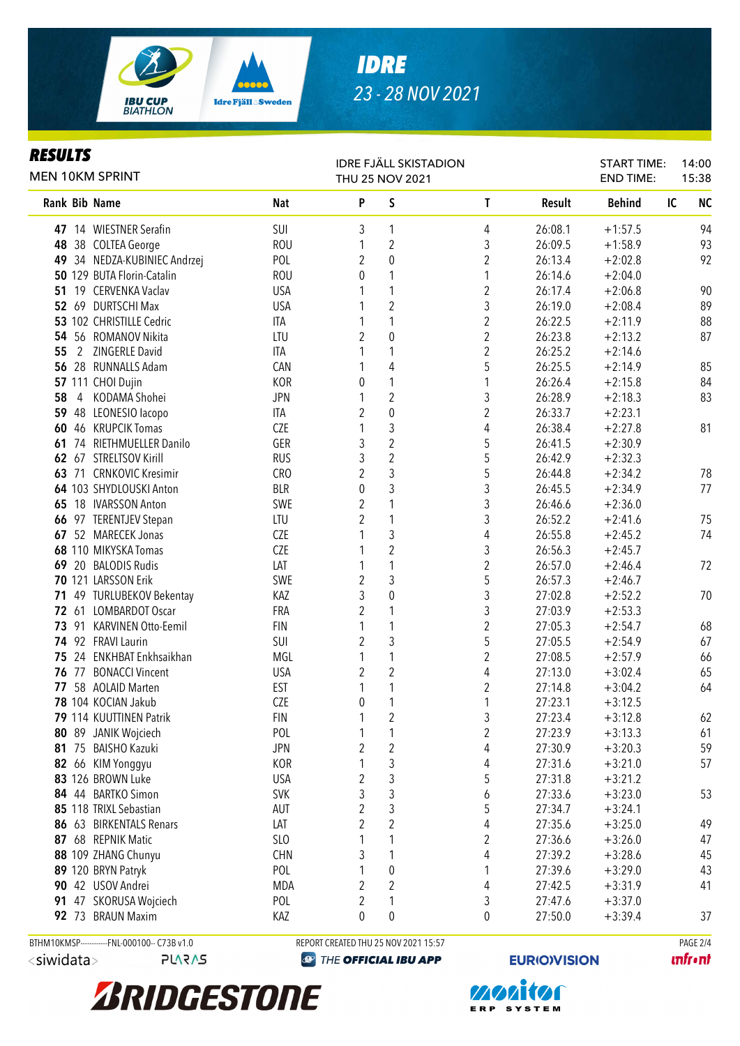

# *IDRE 23 - 28 NOV 2021*

#### *RESULTS*

| nljvli j<br><b>MEN 10KM SPRINT</b> |   |                                              |                 | <b>IDRE FJÄLL SKISTADION</b><br>THU 25 NOV 2021 |                                      |                         |                              | <b>START TIME:</b><br><b>END TIME:</b> | 14:00<br>15:38  |
|------------------------------------|---|----------------------------------------------|-----------------|-------------------------------------------------|--------------------------------------|-------------------------|------------------------------|----------------------------------------|-----------------|
|                                    |   | <b>Rank Bib Name</b>                         | <b>Nat</b>      | P                                               | S                                    | $\mathbf{I}$            | Result                       | <b>Behind</b>                          | <b>NC</b><br>IC |
|                                    |   | 47 14 WIESTNER Serafin                       | SUI             | 3                                               | 1                                    | 4                       | 26:08.1                      | $+1:57.5$                              | 94              |
| 48                                 |   | 38 COLTEA George                             | <b>ROU</b>      | 1                                               | $\overline{2}$                       | 3                       | 26:09.5                      | $+1:58.9$                              | 93              |
| 49                                 |   | 34 NEDZA-KUBINIEC Andrzej                    | POL             | 2                                               | $\boldsymbol{0}$                     | 2                       | 26:13.4                      | $+2:02.8$                              | 92              |
|                                    |   | 50 129 BUTA Florin-Catalin                   | <b>ROU</b>      | 0                                               | 1                                    | 1                       | 26:14.6                      | $+2:04.0$                              |                 |
|                                    |   | 51 19 CERVENKA Vaclav                        | <b>USA</b>      | 1                                               | 1                                    | 2                       | 26:17.4                      | $+2:06.8$                              | 90              |
|                                    |   | 52 69 DURTSCHI Max                           | <b>USA</b>      | 1                                               | $\overline{2}$                       | 3                       | 26:19.0                      | $+2:08.4$                              | 89              |
|                                    |   | 53 102 CHRISTILLE Cedric                     | <b>ITA</b>      |                                                 | 1                                    | $\overline{c}$          | 26:22.5                      | $+2:11.9$                              | 88              |
| 54                                 |   | 56 ROMANOV Nikita                            | LTU             | $\overline{2}$                                  | $\boldsymbol{0}$                     | $\overline{c}$          | 26:23.8                      | $+2:13.2$                              | 87              |
| 55                                 |   | 2 ZINGERLE David                             | <b>ITA</b>      |                                                 | 1                                    | $\overline{c}$          | 26:25.2                      | $+2:14.6$                              |                 |
| 56                                 |   | 28 RUNNALLS Adam                             | CAN             |                                                 | 4                                    | 5                       | 26:25.5                      | $+2:14.9$                              | 85              |
|                                    |   | <b>57 111 CHOI Dujin</b>                     | KOR             | 0                                               | 1                                    | 1                       | 26:26.4                      | $+2:15.8$                              | 84              |
| 58                                 | 4 | KODAMA Shohei                                | <b>JPN</b>      | 1                                               | $\overline{2}$                       | 3                       | 26:28.9                      | $+2:18.3$                              | 83              |
| 59                                 |   | 48 LEONESIO lacopo                           | ITA             | 2                                               | $\mathbf 0$                          | $\overline{2}$          | 26:33.7                      | $+2:23.1$                              |                 |
| 60                                 |   | 46 KRUPCIK Tomas                             | CZE             | 1                                               | 3                                    | 4                       | 26:38.4                      | $+2:27.8$                              | 81              |
|                                    |   | 61 74 RIETHMUELLER Danilo                    | GER             | 3                                               | $\overline{2}$                       | 5                       | 26:41.5                      | $+2:30.9$                              |                 |
|                                    |   | 62 67 STRELTSOV Kirill                       | <b>RUS</b>      | 3                                               | $\overline{2}$                       | 5                       | 26:42.9                      | $+2:32.3$                              |                 |
|                                    |   | 63 71 CRNKOVIC Kresimir                      | <b>CRO</b>      | 2                                               | 3                                    | 5                       | 26:44.8                      | $+2:34.2$                              | 78              |
|                                    |   | 64 103 SHYDLOUSKI Anton                      | <b>BLR</b>      | 0                                               | 3                                    | 3                       | 26:45.5                      | $+2:34.9$                              | 77              |
|                                    |   | 65 18 IVARSSON Anton                         | SWE             | 2                                               | 1                                    | 3                       | 26:46.6                      | $+2:36.0$                              |                 |
|                                    |   | 66 97 TERENTJEV Stepan                       | LTU             | 2                                               | 1                                    | 3                       | 26:52.2                      | $+2:41.6$                              | 75              |
|                                    |   | 67 52 MARECEK Jonas                          | CZE             |                                                 | 3                                    | $\sqrt{4}$              | 26:55.8                      | $+2:45.2$                              | 74              |
|                                    |   | 68 110 MIKYSKA Tomas                         | CZE             |                                                 | $\overline{2}$                       | 3                       | 26:56.3                      | $+2:45.7$                              |                 |
| 69                                 |   | 20 BALODIS Rudis                             | LAT             | 1                                               | 1                                    | $\overline{\mathbf{c}}$ | 26:57.0                      | $+2:46.4$                              | 72              |
|                                    |   | 70 121 LARSSON Erik                          | SWE             | 2                                               | 3                                    | 5                       | 26:57.3                      | $+2:46.7$                              |                 |
| 71                                 |   | 49 TURLUBEKOV Bekentay                       | KAZ             | 3                                               | $\boldsymbol{0}$                     | 3                       | 27:02.8                      | $+2:52.2$                              | 70              |
|                                    |   | 72 61 LOMBARDOT Oscar                        | FRA             | $\overline{2}$                                  | 1                                    | 3                       | 27:03.9                      | $+2:53.3$                              |                 |
| 73                                 |   | 91 KARVINEN Otto-Eemil                       | <b>FIN</b>      | 1                                               | 1                                    | $\overline{2}$          | 27:05.3                      | $+2:54.7$                              | 68              |
|                                    |   | 74 92 FRAVI Laurin                           | SUI             | $\overline{2}$                                  | 3                                    | 5                       | 27:05.5                      | $+2:54.9$                              | 67              |
| 75                                 |   | 24 ENKHBAT Enkhsaikhan                       | MGL             | 1                                               | 1                                    | $\overline{2}$          | 27:08.5                      | $+2:57.9$                              | 66              |
|                                    |   | 76 77 BONACCI Vincent                        | <b>USA</b>      | 2                                               | $\overline{c}$                       | 4                       | 27:13.0                      | $+3:02.4$                              | 65              |
| 77                                 |   | 58 AOLAID Marten                             | EST             | 1                                               | 1                                    | $\overline{2}$          | 27:14.8                      | $+3:04.2$                              | 64              |
|                                    |   | 78 104 KOCIAN Jakub                          | CZE             | 0                                               | 1                                    | 1                       | 27:23.1                      | $+3:12.5$                              |                 |
|                                    |   | 79 114 KUUTTINEN Patrik                      | FIN             |                                                 | $\overline{\mathbf{c}}$              | 3                       | 27:23.4                      | $+3:12.8$                              | 62              |
| 80                                 |   | 89 JANIK Wojciech                            | POL             | 1                                               | 1                                    | 2                       | 27:23.9                      | $+3:13.3$                              | 61              |
| 81                                 |   | 75 BAISHO Kazuki                             | <b>JPN</b>      | 2                                               | $\overline{c}$                       | 4                       | 27:30.9                      | $+3:20.3$                              | 59              |
| 82                                 |   | 66 KIM Yonggyu                               | KOR             | 1                                               | 3                                    | 4                       | 27:31.6                      | $+3:21.0$                              | 57              |
|                                    |   | 83 126 BROWN Luke                            | <b>USA</b>      | 2                                               | 3                                    | 5                       | 27:31.8                      | $+3:21.2$                              |                 |
| 84                                 |   | 44 BARTKO Simon                              | <b>SVK</b>      | 3                                               | 3                                    | 6                       | 27:33.6                      | $+3:23.0$                              | 53              |
|                                    |   | 85 118 TRIXL Sebastian                       | aut             | 2                                               | 3                                    | 5                       | 27:34.7                      | $+3:24.1$                              |                 |
| 86                                 |   | 63 BIRKENTALS Renars                         | LAT             | 2                                               | $\overline{2}$                       | 4                       | 27:35.6                      | $+3:25.0$                              | 49              |
|                                    |   | 87 68 REPNIK Matic                           | SL <sub>0</sub> | 1                                               | 1                                    | 2                       | 27:36.6                      | $+3:26.0$                              | 47              |
|                                    |   | 88 109 ZHANG Chunyu                          | <b>CHN</b>      | 3                                               |                                      | 4                       | 27:39.2                      | $+3:28.6$                              | 45              |
|                                    |   | 89 120 BRYN Patryk                           | POL             |                                                 | $\boldsymbol{0}$                     | 1                       | 27:39.6                      | $+3:29.0$                              | 43              |
| 90                                 |   | 42 USOV Andrei                               | MDA             | 2                                               | $\overline{\mathbf{c}}$              | 4                       | 27:42.5                      | $+3:31.9$                              | 41              |
| 91                                 |   | 47 SKORUSA Wojciech                          | POL             | $\overline{2}$                                  | 1                                    | 3                       | 27:47.6                      | $+3:37.0$                              |                 |
|                                    |   | 92 73 BRAUN Maxim                            | KAZ             | 0                                               | 0                                    | 0                       | 27:50.0                      | $+3:39.4$                              | 37              |
|                                    |   | BTHM10KMSP------------FNL-000100-- C73B v1.0 |                 |                                                 | REPORT CREATED THU 25 NOV 2021 15:57 |                         |                              |                                        | PAGE 2/4        |
| <siwidata></siwidata>              |   | <b>PLARAS</b>                                | $\bigcirc$      |                                                 | THE OFFICIAL IBU APP                 | <b>EURIO)VISION</b>     | <b><i><u>Infront</u></i></b> |                                        |                 |

**ARIDGESTONE** 

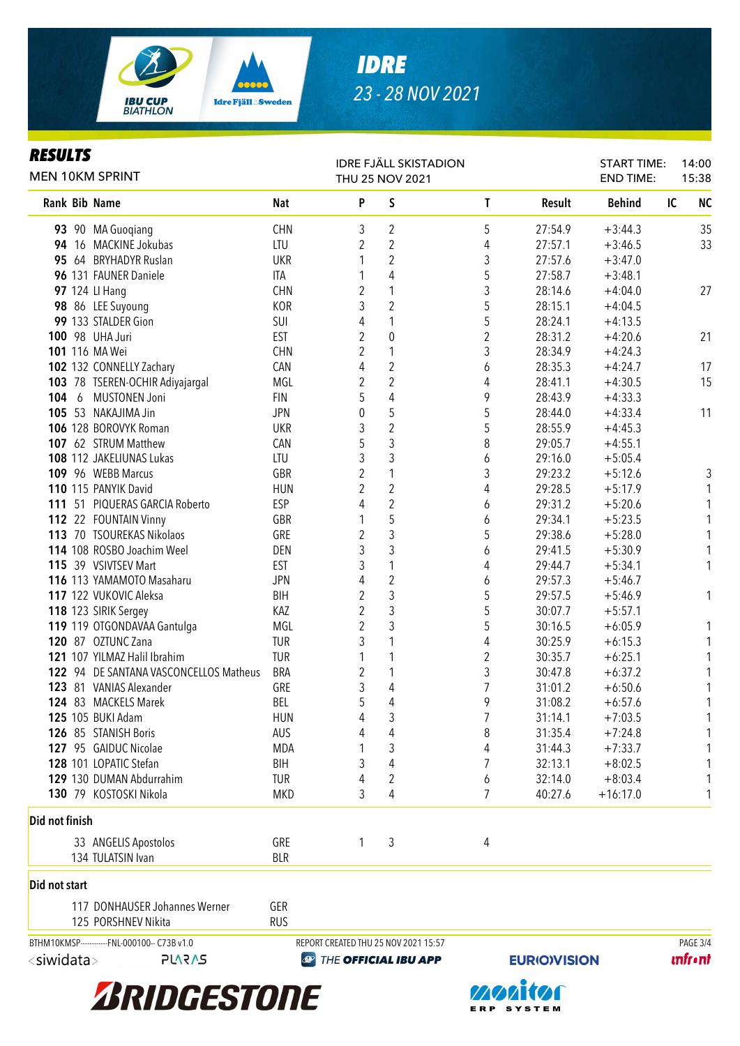

# *IDRE 23 - 28 NOV 2021*

### *RESULTS*

| REJULIJ<br><b>MEN 10KM SPRINT</b> |              |                                              | <b>IDRE FJÄLL SKISTADION</b><br>THU 25 NOV 2021 |                |                                      |                |                    | <b>START TIME:</b><br><b>END TIME:</b> |    | 14:00<br>15:38 |  |
|-----------------------------------|--------------|----------------------------------------------|-------------------------------------------------|----------------|--------------------------------------|----------------|--------------------|----------------------------------------|----|----------------|--|
|                                   |              | <b>Rank Bib Name</b>                         | <b>Nat</b>                                      | P              | S                                    | T              | <b>Result</b>      | <b>Behind</b>                          | IC | <b>NC</b>      |  |
|                                   |              | 93 90 MA Guoqiang                            | <b>CHN</b>                                      | 3              | $\overline{2}$                       | 5              | 27:54.9            | $+3:44.3$                              |    | 35             |  |
|                                   |              | 94 16 MACKINE Jokubas                        | LTU                                             | $\overline{2}$ | $\overline{2}$                       | 4              | 27:57.1            | $+3:46.5$                              |    | 33             |  |
|                                   |              | 95 64 BRYHADYR Ruslan                        | <b>UKR</b>                                      |                | $\sqrt{2}$                           | 3              | 27:57.6            | $+3:47.0$                              |    |                |  |
|                                   |              | 96 131 FAUNER Daniele                        | ITA                                             |                | 4                                    | 5              | 27:58.7            | $+3:48.1$                              |    |                |  |
|                                   |              | 97 124 LI Hang                               | <b>CHN</b>                                      | $\overline{2}$ | 1                                    | 3              | 28:14.6            | $+4:04.0$                              |    | 27             |  |
|                                   |              | 98 86 LEE Suyoung                            | KOR                                             | 3              | $\overline{2}$                       | 5              | 28:15.1            | $+4:04.5$                              |    |                |  |
|                                   |              | 99 133 STALDER Gion                          | SUI                                             | 4              | $\mathbf{1}$                         | 5              | 28:24.1            | $+4:13.5$                              |    |                |  |
|                                   |              | 100 98 UHA Juri                              | EST                                             | $\overline{2}$ | $\mathbf{0}$                         | $\overline{2}$ | 28:31.2            | $+4:20.6$                              |    | 21             |  |
|                                   |              | 101 116 MA Wei                               | <b>CHN</b>                                      | $\overline{2}$ | 1                                    | 3              | 28:34.9            | $+4:24.3$                              |    |                |  |
|                                   |              | 102 132 CONNELLY Zachary                     | CAN                                             | 4              | $\sqrt{2}$                           | 6              | 28:35.3            | $+4:24.7$                              |    | 17             |  |
|                                   |              | 103 78 TSEREN-OCHIR Adiyajargal              | MGL                                             | $\overline{2}$ | $\overline{2}$                       | 4              | 28:41.1            | $+4:30.5$                              |    | 15             |  |
|                                   | $104\quad 6$ | <b>MUSTONEN Joni</b>                         | <b>FIN</b>                                      | 5              | 4                                    | 9              | 28:43.9            | $+4:33.3$                              |    |                |  |
|                                   |              | 105 53 NAKAJIMA Jin                          | <b>JPN</b>                                      | 0              | 5                                    | 5              | 28:44.0            | $+4:33.4$                              |    | 11             |  |
|                                   |              | 106 128 BOROVYK Roman                        | <b>UKR</b>                                      | 3              | $\overline{2}$                       | 5              | 28:55.9            | $+4:45.3$                              |    |                |  |
|                                   |              | 107 62 STRUM Matthew                         | CAN                                             | 5              | 3                                    | 8              | 29:05.7            | $+4:55.1$                              |    |                |  |
|                                   |              | 108 112 JAKELIUNAS Lukas                     | LTU                                             | 3              | 3                                    | 6              | 29:16.0            | $+5:05.4$                              |    |                |  |
|                                   |              | 109 96 WEBB Marcus                           | GBR                                             | $\overline{2}$ | 1                                    | 3              | 29:23.2            | $+5:12.6$                              |    | 3              |  |
|                                   |              | 110 115 PANYIK David                         | <b>HUN</b>                                      | $\overline{2}$ | $\overline{2}$                       | 4              | 29:28.5            | $+5:17.9$                              |    | 1              |  |
|                                   |              | 111 51 PIQUERAS GARCIA Roberto               | ESP                                             | 4              | $\overline{2}$                       | 6              | 29:31.2            | $+5:20.6$                              |    | 1              |  |
|                                   |              | 112 22 FOUNTAIN Vinny                        | GBR                                             | 1              | 5                                    | 6              | 29:34.1            | $+5:23.5$                              |    | 1              |  |
|                                   |              | 113 70 TSOUREKAS Nikolaos                    | GRE                                             | $\overline{2}$ | 3                                    | 5              | 29:38.6            | $+5:28.0$                              |    | 1              |  |
|                                   |              | 114 108 ROSBO Joachim Weel                   | DEN                                             | 3              | 3                                    | 6              | 29:41.5            | $+5:30.9$                              |    | 1              |  |
|                                   |              | 115 39 VSIVTSEV Mart                         | EST                                             | 3              | $\mathbf{1}$                         | 4              | 29:44.7            | $+5:34.1$                              |    | 1              |  |
|                                   |              | 116 113 YAMAMOTO Masaharu                    | <b>JPN</b>                                      | 4              | $\overline{2}$                       | 6              | 29:57.3            | $+5:46.7$                              |    |                |  |
|                                   |              | 117 122 VUKOVIC Aleksa                       | <b>BIH</b>                                      | $\overline{2}$ | 3                                    | 5              | 29:57.5            | $+5:46.9$                              |    | 1              |  |
|                                   |              | 118 123 SIRIK Sergey                         | KAZ                                             | $\overline{2}$ | 3                                    | 5              | 30:07.7            | $+5:57.1$                              |    |                |  |
|                                   |              | 119 119 OTGONDAVAA Gantulga                  | MGL                                             | $\overline{2}$ | 3                                    | 5              | 30:16.5            | $+6:05.9$                              |    | 1              |  |
|                                   |              | 120 87 OZTUNC Zana                           | <b>TUR</b>                                      | 3              | $\mathbf{1}$                         | 4              | 30:25.9            | $+6:15.3$                              |    |                |  |
|                                   |              | 121 107 YILMAZ Halil Ibrahim                 | <b>TUR</b>                                      | 1              | $\mathbf{1}$                         | $\overline{2}$ | 30:35.7            | $+6:25.1$                              |    |                |  |
|                                   |              | 122 94 DE SANTANA VASCONCELLOS Matheus       | <b>BRA</b>                                      | 2              | 1                                    | 3              | 30:47.8            | $+6:37.2$                              |    |                |  |
|                                   |              | 123 81 VANIAS Alexander                      | GRE                                             | 3              | 4                                    | 7              | 31:01.2            | $+6:50.6$                              |    |                |  |
|                                   |              | 124 83 MACKELS Marek                         | BEL                                             | 5              | 4                                    | 9              | 31:08.2            | $+6:57.6$                              |    | 1              |  |
|                                   |              | 125 105 BUKI Adam                            | HUN                                             | 4              | 3                                    |                | 31:14.1            | $+7:03.5$                              |    |                |  |
|                                   |              | 126 85 STANISH Boris                         | AUS                                             |                | 4                                    | 8              | 31:35.4            | $+7:24.8$                              |    |                |  |
|                                   |              | 127 95 GAIDUC Nicolae                        | <b>MDA</b>                                      |                | 3                                    | 4              | 31:44.3            | $+7:33.7$                              |    |                |  |
|                                   |              | 128 101 LOPATIC Stefan                       | <b>BIH</b>                                      | 3              | 4                                    | 7              | 32:13.1            | $+8:02.5$                              |    |                |  |
|                                   |              | 129 130 DUMAN Abdurrahim                     | <b>TUR</b>                                      |                | 2                                    | 6              | 32:14.0            | $+8:03.4$                              |    |                |  |
|                                   |              | 130 79 KOSTOSKI Nikola                       | MKD                                             | 3              | 4                                    | 7              | 40:27.6            | $+16:17.0$                             |    |                |  |
| Did not finish                    |              |                                              |                                                 |                |                                      |                |                    |                                        |    |                |  |
|                                   |              | 33 ANGELIS Apostolos                         | GRE                                             | 1              | 3                                    | 4              |                    |                                        |    |                |  |
|                                   |              | 134 TULATSIN Ivan                            | <b>BLR</b>                                      |                |                                      |                |                    |                                        |    |                |  |
| Did not start                     |              |                                              |                                                 |                |                                      |                |                    |                                        |    |                |  |
|                                   |              | 117 DONHAUSER Johannes Werner                | GER                                             |                |                                      |                |                    |                                        |    |                |  |
|                                   |              | 125 PORSHNEV Nikita                          | <b>RUS</b>                                      |                |                                      |                |                    |                                        |    |                |  |
|                                   |              | BTHM10KMSP------------FNL-000100-- C73B v1.0 |                                                 |                | REPORT CREATED THU 25 NOV 2021 15:57 |                |                    |                                        |    | PAGE 3/4       |  |
| $\epsilon$ siwidata $>$           |              | $P$ $\land$ $S$ $\land$ $S$                  |                                                 |                | <b>C</b> THE OFFICIAL IBU APP        |                | <b>FURIOWISION</b> |                                        |    | <b>Infrent</b> |  |



**monton** ERP SYSTEM